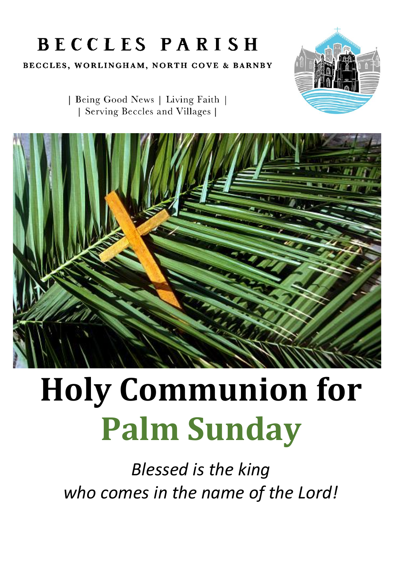# **BECCLES PARISH**

BECCLES, WORLINGHAM, NORTH COVE & BARNBY



| Being Good News | Living Faith | | Serving Beccles and Villages |



# **Holy Communion for Palm Sunday**

*Blessed is the king who comes in the name of the Lord!*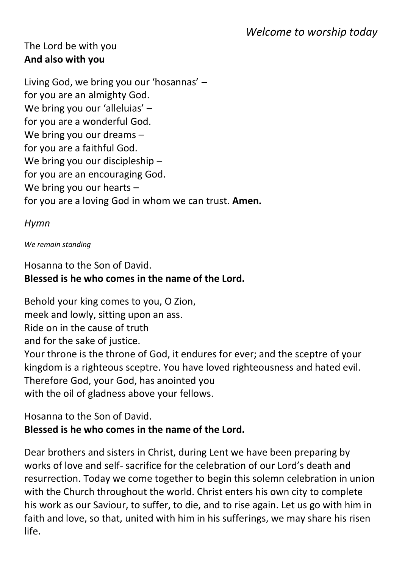# *Welcome to worship today*

#### The Lord be with you **And also with you**

Living God, we bring you our 'hosannas' – for you are an almighty God. We bring you our 'alleluias' for you are a wonderful God. We bring you our dreams – for you are a faithful God. We bring you our discipleship for you are an encouraging God. We bring you our hearts – for you are a loving God in whom we can trust. **Amen.**

#### *Hymn*

#### *We remain standing*

### Hosanna to the Son of David. **Blessed is he who comes in the name of the Lord.**

Behold your king comes to you, O Zion, meek and lowly, sitting upon an ass. Ride on in the cause of truth and for the sake of justice. Your throne is the throne of God, it endures for ever; and the sceptre of your kingdom is a righteous sceptre. You have loved righteousness and hated evil. Therefore God, your God, has anointed you with the oil of gladness above your fellows.

# Hosanna to the Son of David. **Blessed is he who comes in the name of the Lord.**

Dear brothers and sisters in Christ, during Lent we have been preparing by works of love and self- sacrifice for the celebration of our Lord's death and resurrection. Today we come together to begin this solemn celebration in union with the Church throughout the world. Christ enters his own city to complete his work as our Saviour, to suffer, to die, and to rise again. Let us go with him in faith and love, so that, united with him in his sufferings, we may share his risen life.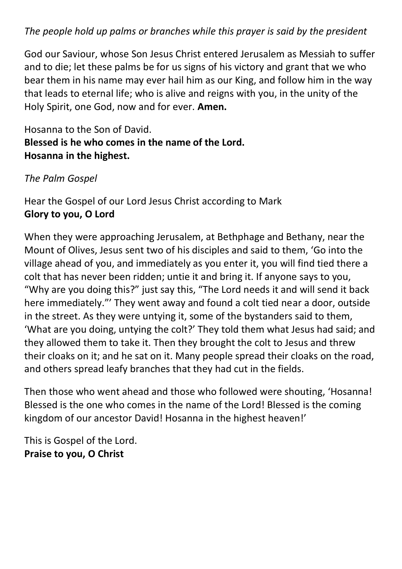#### *The people hold up palms or branches while this prayer is said by the president*

God our Saviour, whose Son Jesus Christ entered Jerusalem as Messiah to suffer and to die; let these palms be for us signs of his victory and grant that we who bear them in his name may ever hail him as our King, and follow him in the way that leads to eternal life; who is alive and reigns with you, in the unity of the Holy Spirit, one God, now and for ever. **Amen.**

# Hosanna to the Son of David. **Blessed is he who comes in the name of the Lord. Hosanna in the highest.**

*The Palm Gospel* 

Hear the Gospel of our Lord Jesus Christ according to Mark **Glory to you, O Lord**

When they were approaching Jerusalem, at Bethphage and Bethany, near the Mount of Olives, Jesus sent two of his disciples and said to them, 'Go into the village ahead of you, and immediately as you enter it, you will find tied there a colt that has never been ridden; untie it and bring it. If anyone says to you, "Why are you doing this?" just say this, "The Lord needs it and will send it back here immediately."' They went away and found a colt tied near a door, outside in the street. As they were untying it, some of the bystanders said to them, 'What are you doing, untying the colt?' They told them what Jesus had said; and they allowed them to take it. Then they brought the colt to Jesus and threw their cloaks on it; and he sat on it. Many people spread their cloaks on the road, and others spread leafy branches that they had cut in the fields.

Then those who went ahead and those who followed were shouting, 'Hosanna! Blessed is the one who comes in the name of the Lord! Blessed is the coming kingdom of our ancestor David! Hosanna in the highest heaven!'

This is Gospel of the Lord. **Praise to you, O Christ**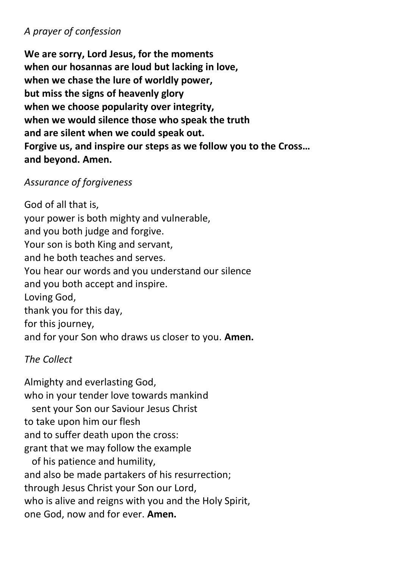#### *A prayer of confession*

**We are sorry, Lord Jesus, for the moments when our hosannas are loud but lacking in love, when we chase the lure of worldly power, but miss the signs of heavenly glory when we choose popularity over integrity, when we would silence those who speak the truth and are silent when we could speak out. Forgive us, and inspire our steps as we follow you to the Cross… and beyond. Amen.**

#### *Assurance of forgiveness*

God of all that is, your power is both mighty and vulnerable, and you both judge and forgive. Your son is both King and servant, and he both teaches and serves. You hear our words and you understand our silence and you both accept and inspire. Loving God, thank you for this day, for this journey, and for your Son who draws us closer to you. **Amen.**

#### *The Collect*

Almighty and everlasting God, who in your tender love towards mankind sent your Son our Saviour Jesus Christ to take upon him our flesh and to suffer death upon the cross: grant that we may follow the example of his patience and humility, and also be made partakers of his resurrection; through Jesus Christ your Son our Lord, who is alive and reigns with you and the Holy Spirit, one God, now and for ever. **Amen.**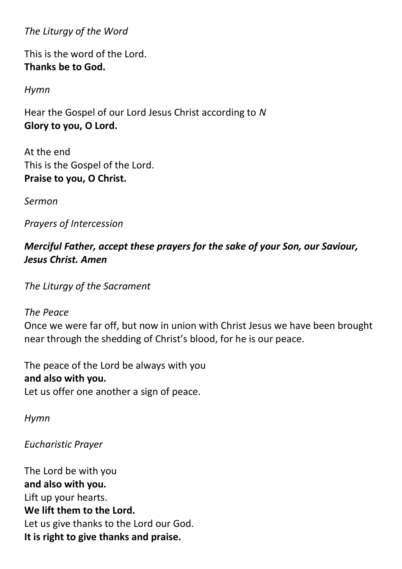*The Liturgy of the Word* 

This is the word of the Lord. **Thanks be to God.** 

*Hymn*

Hear the Gospel of our Lord Jesus Christ according to *N* **Glory to you, O Lord.** 

At the end This is the Gospel of the Lord. **Praise to you, O Christ.** 

*Sermon*

*Prayers of Intercession*

# *Merciful Father, accept these prayers for the sake of your Son, our Saviour, Jesus Christ. Amen*

*The Liturgy of the Sacrament* 

#### *The Peace*

Once we were far off, but now in union with Christ Jesus we have been brought near through the shedding of Christ's blood, for he is our peace.

The peace of the Lord be always with you **and also with you.**  Let us offer one another a sign of peace.

*Hymn*

*Eucharistic Prayer*

The Lord be with you **and also with you.**  Lift up your hearts. **We lift them to the Lord.**  Let us give thanks to the Lord our God. **It is right to give thanks and praise.**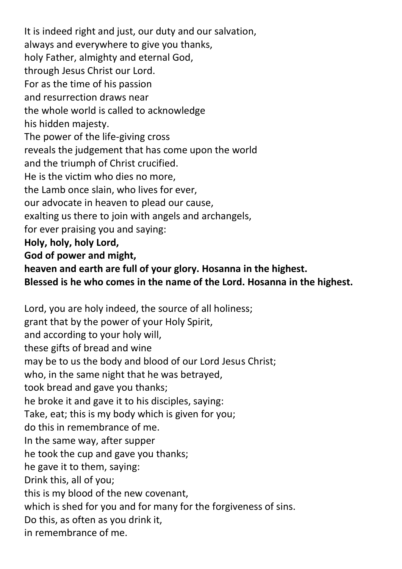It is indeed right and just, our duty and our salvation, always and everywhere to give you thanks, holy Father, almighty and eternal God, through Jesus Christ our Lord. For as the time of his passion and resurrection draws near the whole world is called to acknowledge his hidden majesty. The power of the life-giving cross reveals the judgement that has come upon the world and the triumph of Christ crucified. He is the victim who dies no more, the Lamb once slain, who lives for ever, our advocate in heaven to plead our cause, exalting us there to join with angels and archangels, for ever praising you and saying: **Holy, holy, holy Lord, God of power and might, heaven and earth are full of your glory. Hosanna in the highest. Blessed is he who comes in the name of the Lord. Hosanna in the highest.** 

Lord, you are holy indeed, the source of all holiness; grant that by the power of your Holy Spirit, and according to your holy will, these gifts of bread and wine may be to us the body and blood of our Lord Jesus Christ; who, in the same night that he was betrayed, took bread and gave you thanks; he broke it and gave it to his disciples, saying: Take, eat; this is my body which is given for you; do this in remembrance of me. In the same way, after supper he took the cup and gave you thanks; he gave it to them, saying: Drink this, all of you; this is my blood of the new covenant, which is shed for you and for many for the forgiveness of sins. Do this, as often as you drink it, in remembrance of me.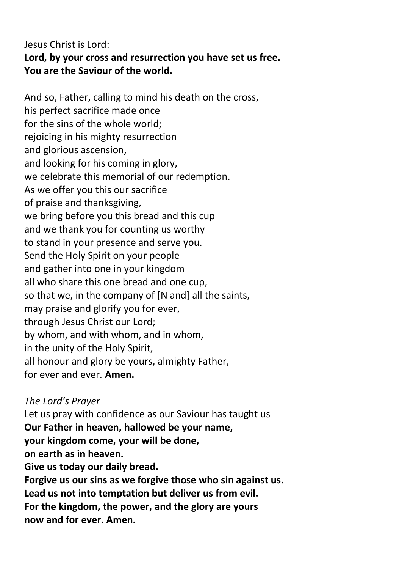# Jesus Christ is Lord: **Lord, by your cross and resurrection you have set us free. You are the Saviour of the world.**

And so, Father, calling to mind his death on the cross, his perfect sacrifice made once for the sins of the whole world; rejoicing in his mighty resurrection and glorious ascension, and looking for his coming in glory, we celebrate this memorial of our redemption. As we offer you this our sacrifice of praise and thanksgiving, we bring before you this bread and this cup and we thank you for counting us worthy to stand in your presence and serve you. Send the Holy Spirit on your people and gather into one in your kingdom all who share this one bread and one cup, so that we, in the company of [N and] all the saints, may praise and glorify you for ever, through Jesus Christ our Lord; by whom, and with whom, and in whom, in the unity of the Holy Spirit, all honour and glory be yours, almighty Father, for ever and ever. **Amen.**

*The Lord's Prayer*  Let us pray with confidence as our Saviour has taught us **Our Father in heaven, hallowed be your name, your kingdom come, your will be done, on earth as in heaven. Give us today our daily bread. Forgive us our sins as we forgive those who sin against us. Lead us not into temptation but deliver us from evil. For the kingdom, the power, and the glory are yours now and for ever. Amen.**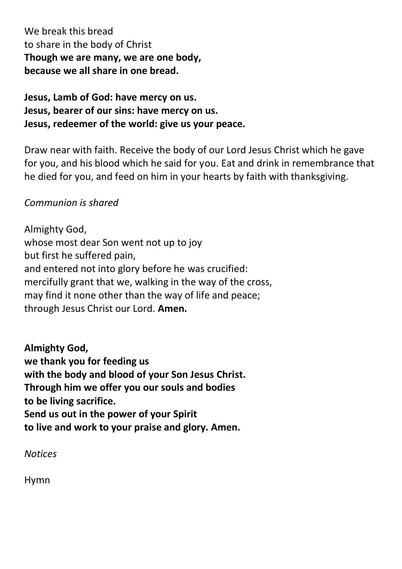We break this bread to share in the body of Christ **Though we are many, we are one body, because we all share in one bread.**

# **Jesus, Lamb of God: have mercy on us. Jesus, bearer of our sins: have mercy on us. Jesus, redeemer of the world: give us your peace.**

Draw near with faith. Receive the body of our Lord Jesus Christ which he gave for you, and his blood which he said for you. Eat and drink in remembrance that he died for you, and feed on him in your hearts by faith with thanksgiving.

#### *Communion is shared*

Almighty God, whose most dear Son went not up to joy but first he suffered pain, and entered not into glory before he was crucified: mercifully grant that we, walking in the way of the cross, may find it none other than the way of life and peace; through Jesus Christ our Lord. **Amen.**

**Almighty God, we thank you for feeding us with the body and blood of your Son Jesus Christ. Through him we offer you our souls and bodies to be living sacrifice. Send us out in the power of your Spirit to live and work to your praise and glory. Amen.**

*Notices* 

Hymn